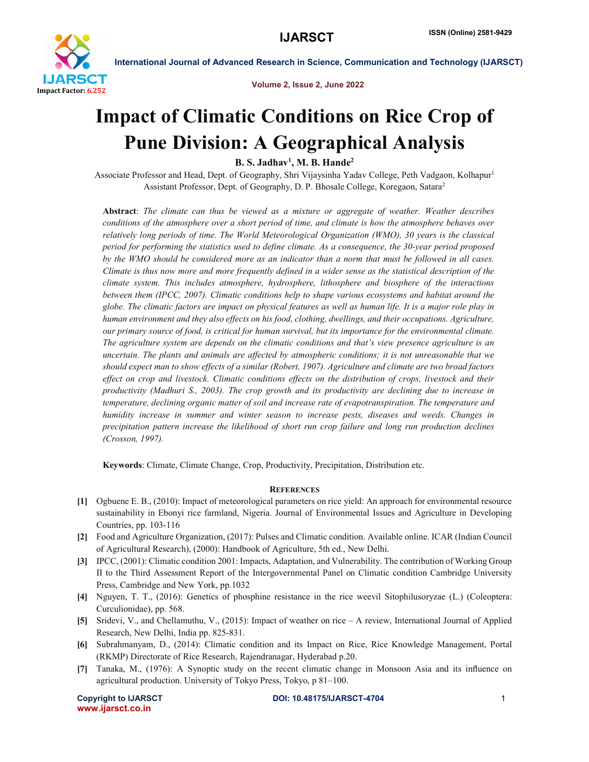

International Journal of Advanced Research in Science, Communication and Technology (IJARSCT)

Volume 2, Issue 2, June 2022

# Impact of Climatic Conditions on Rice Crop of Pune Division: A Geographical Analysis

B. S. Jadhav<sup>1</sup>, M. B. Hande<sup>2</sup>

Associate Professor and Head, Dept. of Geography, Shri Vijaysinha Yadav College, Peth Vadgaon, Kolhapur1 Assistant Professor, Dept. of Geography, D. P. Bhosale College, Koregaon, Satara2

Abstract: *The climate can thus be viewed as a mixture or aggregate of weather. Weather describes conditions of the atmosphere over a short period of time, and climate is how the atmosphere behaves over relatively long periods of time. The World Meteorological Organization (WMO), 30 years is the classical period for performing the statistics used to define climate. As a consequence, the 30-year period proposed by the WMO should be considered more as an indicator than a norm that must be followed in all cases. Climate is thus now more and more frequently defined in a wider sense as the statistical description of the climate system. This includes atmosphere, hydrosphere, lithosphere and biosphere of the interactions between them (IPCC, 2007). Climatic conditions help to shape various ecosystems and habitat around the globe. The climatic factors are impact on physical features as well as human life. It is a major role play in human environment and they also effects on his food, clothing, dwellings, and their occupations. Agriculture, our primary source of food, is critical for human survival, but its importance for the environmental climate. The agriculture system are depends on the climatic conditions and that's view presence agriculture is an uncertain. The plants and animals are affected by atmospheric conditions; it is not unreasonable that we should expect man to show effects of a similar (Robert, 1907). Agriculture and climate are two broad factors effect on crop and livestock. Climatic conditions effects on the distribution of crops, livestock and their productivity (Madhuri S., 2003). The crop growth and its productivity are declining due to increase in temperature, declining organic matter of soil and increase rate of evapotranspiration. The temperature and humidity increase in summer and winter season to increase pests, diseases and weeds. Changes in precipitation pattern increase the likelihood of short run crop failure and long run production declines (Crosson, 1997).*

Keywords: Climate, Climate Change, Crop, Productivity, Precipitation, Distribution etc.

## **REFERENCES**

- [1] Ogbuene E. B., (2010): Impact of meteorological parameters on rice yield: An approach for environmental resource sustainability in Ebonyi rice farmland, Nigeria. Journal of Environmental Issues and Agriculture in Developing Countries, pp. 103-116
- [2] Food and Agriculture Organization, (2017): Pulses and Climatic condition. Available online. ICAR (Indian Council of Agricultural Research), (2000): Handbook of Agriculture, 5th ed., New Delhi.
- [3] IPCC, (2001): Climatic condition 2001: Impacts, Adaptation, and Vulnerability. The contribution of Working Group II to the Third Assessment Report of the Intergovernmental Panel on Climatic condition Cambridge University Press, Cambridge and New York, pp.1032
- [4] Nguyen, T. T., (2016): Genetics of phosphine resistance in the rice weevil Sitophilusoryzae (L.) (Coleoptera: Curculionidae), pp. 568.
- [5] Sridevi, V., and Chellamuthu, V., (2015): Impact of weather on rice A review, International Journal of Applied Research, New Delhi, India pp. 825-831.
- [6] Subrahmanyam, D., (2014): Climatic condition and its Impact on Rice, Rice Knowledge Management, Portal (RKMP) Directorate of Rice Research, Rajendranagar, Hyderabad p.20.
- [7] Tanaka, M., (1976): A Synoptic study on the recent climatic change in Monsoon Asia and its influence on agricultural production. University of Tokyo Press, Tokyo, p 81–100.

www.ijarsct.co.in

Copyright to IJARSCT **DOI: 10.48175/IJARSCT-4704** 1